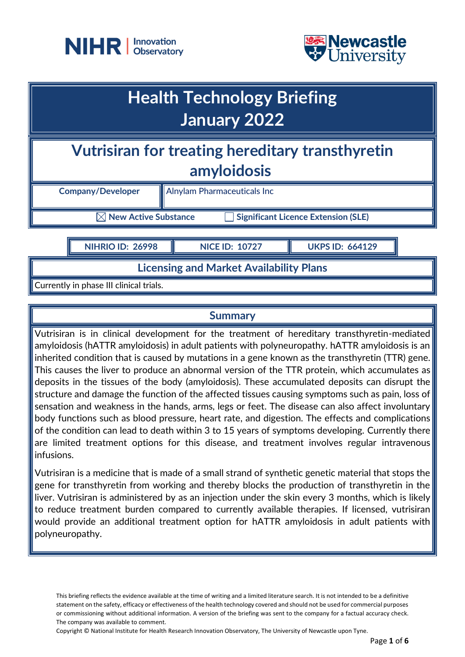



## **Health Technology Briefing January 2022**

**Vutrisiran for treating hereditary transthyretin amyloidosis**

| <b>Company/Developer</b> |
|--------------------------|

 **Company/Developer** Alnylam Pharmaceuticals Inc

 $\boxtimes$  New Active Substance  $\qquad \qquad \square$  Significant Licence Extension (SLE)

**NIHRIO ID: 26998 NICE ID: 10727 UKPS ID: 664129**

**Licensing and Market Availability Plans**

Currently in phase III clinical trials.

## **Summary**

Vutrisiran is in clinical development for the treatment of hereditary transthyretin-mediated amyloidosis (hATTR amyloidosis) in adult patients with polyneuropathy. hATTR amyloidosis is an inherited condition that is caused by mutations in a gene known as the transthyretin (TTR) gene. This causes the liver to produce an abnormal version of the TTR protein, which accumulates as deposits in the tissues of the body (amyloidosis). These accumulated deposits can disrupt the structure and damage the function of the affected tissues causing symptoms such as pain, loss of sensation and weakness in the hands, arms, legs or feet. The disease can also affect involuntary body functions such as blood pressure, heart rate, and digestion. The effects and complications of the condition can lead to death within 3 to 15 years of symptoms developing. Currently there are limited treatment options for this disease, and treatment involves regular intravenous infusions.

Vutrisiran is a medicine that is made of a small strand of synthetic genetic material that stops the gene for transthyretin from working and thereby blocks the production of transthyretin in the liver. Vutrisiran is administered by as an injection under the skin every 3 months, which is likely to reduce treatment burden compared to currently available therapies. If licensed, vutrisiran would provide an additional treatment option for hATTR amyloidosis in adult patients with polyneuropathy.

This briefing reflects the evidence available at the time of writing and a limited literature search. It is not intended to be a definitive statement on the safety, efficacy or effectiveness of the health technology covered and should not be used for commercial purposes or commissioning without additional information. A version of the briefing was sent to the company for a factual accuracy check. The company was available to comment.

Copyright © National Institute for Health Research Innovation Observatory, The University of Newcastle upon Tyne.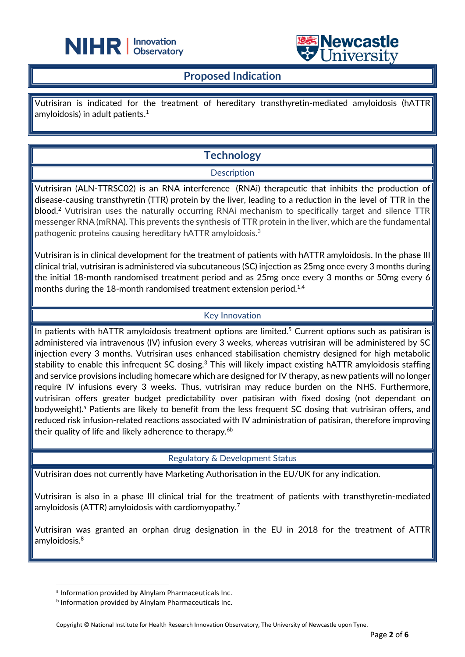



## **Proposed Indication**

֦

Vutrisiran is indicated for the treatment of hereditary transthyretin-mediated amyloidosis (hATTR amyloidosis) in adult patients. $^{\rm 1}$ 

## **Technology**

#### **Description**

Vutrisiran (ALN-TTRSC02) is an RNA interference (RNAi) therapeutic that inhibits the production of disease-causing transthyretin (TTR) protein by the liver, leading to a reduction in the level of TTR in the blood.<sup>2</sup> Vutrisiran uses the naturally occurring RNAi mechanism to specifically target and silence TTR messenger RNA (mRNA). This prevents the synthesis of TTR protein in the liver, which are the fundamental pathogenic proteins causing hereditary hATTR amyloidosis. 3

Vutrisiran is in clinical development for the treatment of patients with hATTR amyloidosis. In the phase III clinical trial, vutrisiran is administered via subcutaneous (SC) injection as 25mg once every 3 months during the initial 18-month randomised treatment period and as 25mg once every 3 months or 50mg every 6 months during the 18-month randomised treatment extension period. $^{1,4}$ 

#### Key Innovation

In patients with hATTR amyloidosis treatment options are limited.<sup>5</sup> Current options such as patisiran is administered via intravenous (IV) infusion every 3 weeks, whereas vutrisiran will be administered by SC injection every 3 months. Vutrisiran uses enhanced stabilisation chemistry designed for high metabolic stability to enable this infrequent SC dosing.<sup>3</sup> This will likely impact existing hATTR amyloidosis staffing and service provisions including homecare which are designed for IV therapy, as new patients will no longer require IV infusions every 3 weeks. Thus, vutrisiran may reduce burden on the NHS. Furthermore, vutrisiran offers greater budget predictability over patisiran with fixed dosing (not dependant on bodyweight).<sup>a</sup> Patients are likely to benefit from the less frequent SC dosing that vutrisiran offers, and reduced risk infusion-related reactions associated with IV administration of patisiran, therefore improving their quality of life and likely adherence to therapy.<sup>6b</sup>

#### Regulatory & Development Status

Vutrisiran does not currently have Marketing Authorisation in the EU/UK for any indication.

Vutrisiran is also in a phase III clinical trial for the treatment of patients with transthyretin-mediated amyloidosis (ATTR) amyloidosis with cardiomyopathy.<sup>7</sup>

Vutrisiran was granted an orphan drug designation in the EU in 2018 for the treatment of ATTR amyloidosis.<sup>8</sup>

a Information provided by Alnylam Pharmaceuticals Inc.

**b** Information provided by Alnylam Pharmaceuticals Inc.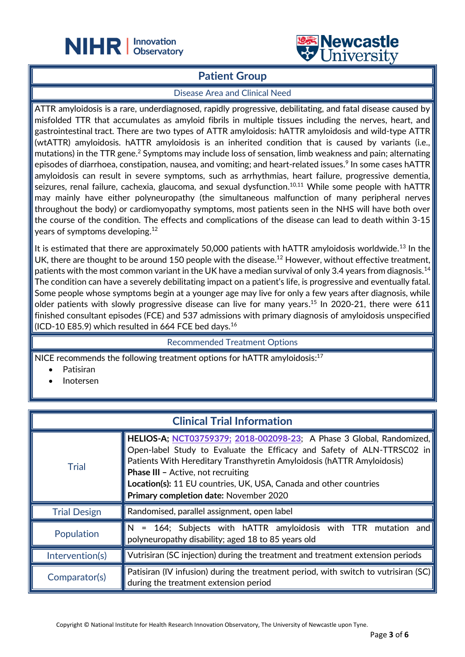

## **Patient Group**

֦

#### Disease Area and Clinical Need

ATTR amyloidosis is a rare, underdiagnosed, rapidly progressive, debilitating, and fatal disease caused by misfolded TTR that accumulates as amyloid fibrils in multiple tissues including the nerves, heart, and gastrointestinal tract. There are two types of ATTR amyloidosis: hATTR amyloidosis and wild-type ATTR (wtATTR) amyloidosis. hATTR amyloidosis is an inherited condition that is caused by variants (i.e., mutations) in the TTR gene. <sup>2</sup> Symptoms may include loss of sensation, limb weakness and pain; alternating episodes of diarrhoea, constipation, nausea, and vomiting; and heart-related issues. 9 In some cases hATTR amyloidosis can result in severe symptoms, such as arrhythmias, heart failure, progressive dementia, seizures, renal failure, cachexia, glaucoma, and sexual dysfunction.<sup>10,11</sup> While some people with hATTR may mainly have either polyneuropathy (the simultaneous malfunction of many peripheral nerves throughout the body) or cardiomyopathy symptoms, most patients seen in the NHS will have both over the course of the condition. The effects and complications of the disease can lead to death within 3-15 years of symptoms developing. 12

It is estimated that there are approximately 50,000 patients with hATTR amyloidosis worldwide.<sup>13</sup> In the UK, there are thought to be around 150 people with the disease.<sup>12</sup> However, without effective treatment, patients with the most common variant in the UK have a median survival of only 3.4 years from diagnosis.<sup>14</sup> The condition can have a severely debilitating impact on a patient's life, is progressive and eventually fatal. Some people whose symptoms begin at a younger age may live for only a few years after diagnosis, while older patients with slowly progressive disease can live for many years.<sup>15</sup> In 2020-21, there were 611 finished consultant episodes (FCE) and 537 admissions with primary diagnosis of amyloidosis unspecified (ICD-10 E85.9) which resulted in 664 FCE bed days.<sup>16</sup>

Recommended Treatment Options

NICE recommends the following treatment options for hATTR amyloidosis:<sup>17</sup>

- Patisiran
- Inotersen

| <b>Clinical Trial Information</b> |                                                                                                                                                                                                                                                                                                                                                                                      |  |
|-----------------------------------|--------------------------------------------------------------------------------------------------------------------------------------------------------------------------------------------------------------------------------------------------------------------------------------------------------------------------------------------------------------------------------------|--|
| <b>Trial</b>                      | HELIOS-A; NCT03759379; 2018-002098-23; A Phase 3 Global, Randomized,<br>Open-label Study to Evaluate the Efficacy and Safety of ALN-TTRSC02 in<br>Patients With Hereditary Transthyretin Amyloidosis (hATTR Amyloidosis)<br><b>Phase III - Active, not recruiting</b><br>Location(s): 11 EU countries, UK, USA, Canada and other countries<br>Primary completion date: November 2020 |  |
| <b>Trial Design</b>               | Randomised, parallel assignment, open label                                                                                                                                                                                                                                                                                                                                          |  |
| Population                        | N = 164; Subjects with hATTR amyloidosis with TTR mutation and<br>polyneuropathy disability; aged 18 to 85 years old                                                                                                                                                                                                                                                                 |  |
| Intervention(s)                   | Vutrisiran (SC injection) during the treatment and treatment extension periods                                                                                                                                                                                                                                                                                                       |  |
| Comparator(s)                     | Patisiran (IV infusion) during the treatment period, with switch to vutrisiran (SC)<br>during the treatment extension period                                                                                                                                                                                                                                                         |  |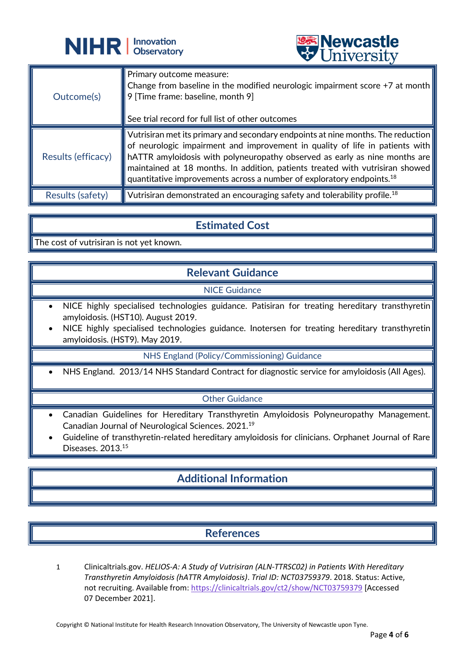

|                    | A CITTACTOTA                                                                                                                                                                                                                                                                                                                                                                                                                                 |
|--------------------|----------------------------------------------------------------------------------------------------------------------------------------------------------------------------------------------------------------------------------------------------------------------------------------------------------------------------------------------------------------------------------------------------------------------------------------------|
| Outcome(s)         | Primary outcome measure:<br>Change from baseline in the modified neurologic impairment score $+7$ at month<br>$ 9$ [Time frame: baseline, month $9]$<br>See trial record for full list of other outcomes                                                                                                                                                                                                                                     |
| Results (efficacy) | Vutrisiran met its primary and secondary endpoints at nine months. The reduction<br>of neurologic impairment and improvement in quality of life in patients with<br>$\parallel$ hATTR amyloidosis with polyneuropathy observed as early as nine months are $\parallel$<br>maintained at 18 months. In addition, patients treated with vutrisiran showed<br>quantitative improvements across a number of exploratory endpoints. <sup>18</sup> |
| Results (safety)   | $\parallel$ Vutrisiran demonstrated an encouraging safety and tolerability profile. <sup>18</sup>                                                                                                                                                                                                                                                                                                                                            |

**Newcastle**<br>University

## **Estimated Cost**

The cost of vutrisiran is not yet known.

## **Relevant Guidance**

#### NICE Guidance

- NICE highly specialised technologies guidance. Patisiran for treating hereditary transthyretin amyloidosis. (HST10). August 2019.
- NICE highly specialised technologies guidance. Inotersen for treating hereditary transthyretin amyloidosis. (HST9). May 2019.

NHS England (Policy/Commissioning) Guidance

• NHS England. 2013/14 NHS Standard Contract for diagnostic service for amyloidosis (All Ages).

#### Other Guidance

- Canadian Guidelines for Hereditary Transthyretin Amyloidosis Polyneuropathy Management. Canadian Journal of Neurological Sciences. 2021.<sup>19</sup>
- Guideline of transthyretin-related hereditary amyloidosis for clinicians. Orphanet Journal of Rare Diseases. 2013.<sup>15</sup>

## **Additional Information**

## **References**

1 Clinicaltrials.gov. *HELIOS-A: A Study of Vutrisiran (ALN-TTRSC02) in Patients With Hereditary Transthyretin Amyloidosis (hATTR Amyloidosis)*. *Trial ID: NCT03759379*. 2018. Status: Active, not recruiting. Available from[: https://clinicaltrials.gov/ct2/show/NCT03759379](https://clinicaltrials.gov/ct2/show/NCT03759379) [Accessed 07 December 2021].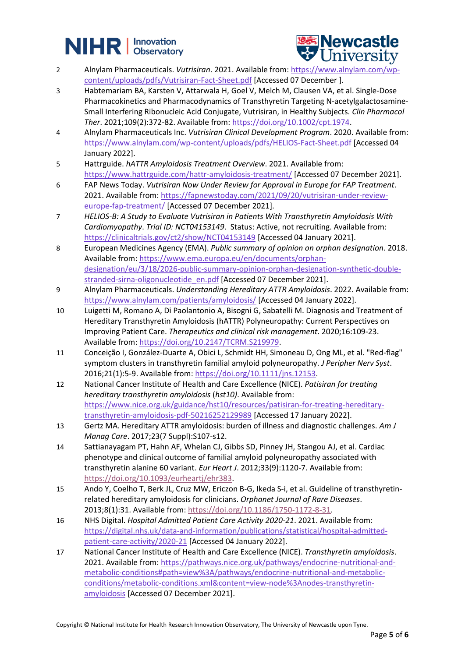# **NIHR** | Innovation



- 2 Alnylam Pharmaceuticals. *Vutrisiran*. 2021. Available from[: https://www.alnylam.com/wp](https://www.alnylam.com/wp-content/uploads/pdfs/Vutrisiran-Fact-Sheet.pdf)[content/uploads/pdfs/Vutrisiran-Fact-Sheet.pdf](https://www.alnylam.com/wp-content/uploads/pdfs/Vutrisiran-Fact-Sheet.pdf) [Accessed 07 December ].
- 3 Habtemariam BA, Karsten V, Attarwala H, Goel V, Melch M, Clausen VA, et al. Single-Dose Pharmacokinetics and Pharmacodynamics of Transthyretin Targeting N-acetylgalactosamine-Small Interfering Ribonucleic Acid Conjugate, Vutrisiran, in Healthy Subjects. *Clin Pharmacol Ther*. 2021;109(2):372-82. Available from: [https://doi.org/10.1002/cpt.1974.](https://doi.org/10.1002/cpt.1974)
- 4 Alnylam Pharmaceuticals Inc. *Vutrisiran Clinical Development Program*. 2020. Available from: <https://www.alnylam.com/wp-content/uploads/pdfs/HELIOS-Fact-Sheet.pdf> [Accessed 04 January 2022].
- 5 Hattrguide. *hATTR Amyloidosis Treatment Overview*. 2021. Available from: <https://www.hattrguide.com/hattr-amyloidosis-treatment/> [Accessed 07 December 2021].
- 6 FAP News Today. *Vutrisiran Now Under Review for Approval in Europe for FAP Treatment*. 2021. Available from: [https://fapnewstoday.com/2021/09/20/vutrisiran-under-review](https://fapnewstoday.com/2021/09/20/vutrisiran-under-review-europe-fap-treatment/)[europe-fap-treatment/](https://fapnewstoday.com/2021/09/20/vutrisiran-under-review-europe-fap-treatment/) [Accessed 07 December 2021].
- 7 *HELIOS-B: A Study to Evaluate Vutrisiran in Patients With Transthyretin Amyloidosis With Cardiomyopathy*. *Trial ID: NCT04153149*. Status: Active, not recruiting. Available from: <https://clinicaltrials.gov/ct2/show/NCT04153149> [Accessed 04 January 2021].
- 8 European Medicines Agency (EMA). *Public summary of opinion on orphan designation*. 2018. Available from[: https://www.ema.europa.eu/en/documents/orphan](https://www.ema.europa.eu/en/documents/orphan-designation/eu/3/18/2026-public-summary-opinion-orphan-designation-synthetic-double-stranded-sirna-oligonucleotide_en.pdf)[designation/eu/3/18/2026-public-summary-opinion-orphan-designation-synthetic-double](https://www.ema.europa.eu/en/documents/orphan-designation/eu/3/18/2026-public-summary-opinion-orphan-designation-synthetic-double-stranded-sirna-oligonucleotide_en.pdf)[stranded-sirna-oligonucleotide\\_en.pdf](https://www.ema.europa.eu/en/documents/orphan-designation/eu/3/18/2026-public-summary-opinion-orphan-designation-synthetic-double-stranded-sirna-oligonucleotide_en.pdf) [Accessed 07 December 2021].
- 9 Alnylam Pharmaceuticals. *Understanding Hereditary ATTR Amyloidosis*. 2022. Available from: <https://www.alnylam.com/patients/amyloidosis/> [Accessed 04 January 2022].
- 10 Luigetti M, Romano A, Di Paolantonio A, Bisogni G, Sabatelli M. Diagnosis and Treatment of Hereditary Transthyretin Amyloidosis (hATTR) Polyneuropathy: Current Perspectives on Improving Patient Care. *Therapeutics and clinical risk management*. 2020;16:109-23. Available from[: https://doi.org/10.2147/TCRM.S219979.](https://doi.org/10.2147/TCRM.S219979)
- 11 Conceição I, González-Duarte A, Obici L, Schmidt HH, Simoneau D, Ong ML, et al. "Red-flag" symptom clusters in transthyretin familial amyloid polyneuropathy. *J Peripher Nerv Syst*. 2016;21(1):5-9. Available from: [https://doi.org/10.1111/jns.12153.](https://doi.org/10.1111/jns.12153)
- 12 National Cancer Institute of Health and Care Excellence (NICE). *Patisiran for treating hereditary transthyretin amyloidosis* (*hst10)*. Available from: [https://www.nice.org.uk/guidance/hst10/resources/patisiran-for-treating-hereditary](https://www.nice.org.uk/guidance/hst10/resources/patisiran-for-treating-hereditary-transthyretin-amyloidosis-pdf-50216252129989)[transthyretin-amyloidosis-pdf-50216252129989](https://www.nice.org.uk/guidance/hst10/resources/patisiran-for-treating-hereditary-transthyretin-amyloidosis-pdf-50216252129989) [Accessed 17 January 2022].
- 13 Gertz MA. Hereditary ATTR amyloidosis: burden of illness and diagnostic challenges. *Am J Manag Care*. 2017;23(7 Suppl):S107-s12.
- 14 Sattianayagam PT, Hahn AF, Whelan CJ, Gibbs SD, Pinney JH, Stangou AJ, et al. Cardiac phenotype and clinical outcome of familial amyloid polyneuropathy associated with transthyretin alanine 60 variant. *Eur Heart J*. 2012;33(9):1120-7. Available from: [https://doi.org/10.1093/eurheartj/ehr383.](https://doi.org/10.1093/eurheartj/ehr383)
- 15 Ando Y, Coelho T, Berk JL, Cruz MW, Ericzon B-G, Ikeda S-i, et al. Guideline of transthyretinrelated hereditary amyloidosis for clinicians. *Orphanet Journal of Rare Diseases*. 2013;8(1):31. Available from: [https://doi.org/10.1186/1750-1172-8-31.](https://doi.org/10.1186/1750-1172-8-31)
- 16 NHS Digital. *Hospital Admitted Patient Care Activity 2020-21*. 2021. Available from: [https://digital.nhs.uk/data-and-information/publications/statistical/hospital-admitted](https://digital.nhs.uk/data-and-information/publications/statistical/hospital-admitted-patient-care-activity/2020-21)[patient-care-activity/2020-21](https://digital.nhs.uk/data-and-information/publications/statistical/hospital-admitted-patient-care-activity/2020-21) [Accessed 04 January 2022].
- 17 National Cancer Institute of Health and Care Excellence (NICE). *Transthyretin amyloidosis*. 2021. Available from: [https://pathways.nice.org.uk/pathways/endocrine-nutritional-and](https://pathways.nice.org.uk/pathways/endocrine-nutritional-and-metabolic-conditions#path=view%3A/pathways/endocrine-nutritional-and-metabolic-conditions/metabolic-conditions.xml&content=view-node%3Anodes-transthyretin-amyloidosis)[metabolic-conditions#path=view%3A/pathways/endocrine-nutritional-and-metabolic](https://pathways.nice.org.uk/pathways/endocrine-nutritional-and-metabolic-conditions#path=view%3A/pathways/endocrine-nutritional-and-metabolic-conditions/metabolic-conditions.xml&content=view-node%3Anodes-transthyretin-amyloidosis)[conditions/metabolic-conditions.xml&content=view-node%3Anodes-transthyretin](https://pathways.nice.org.uk/pathways/endocrine-nutritional-and-metabolic-conditions#path=view%3A/pathways/endocrine-nutritional-and-metabolic-conditions/metabolic-conditions.xml&content=view-node%3Anodes-transthyretin-amyloidosis)[amyloidosis](https://pathways.nice.org.uk/pathways/endocrine-nutritional-and-metabolic-conditions#path=view%3A/pathways/endocrine-nutritional-and-metabolic-conditions/metabolic-conditions.xml&content=view-node%3Anodes-transthyretin-amyloidosis) [Accessed 07 December 2021].